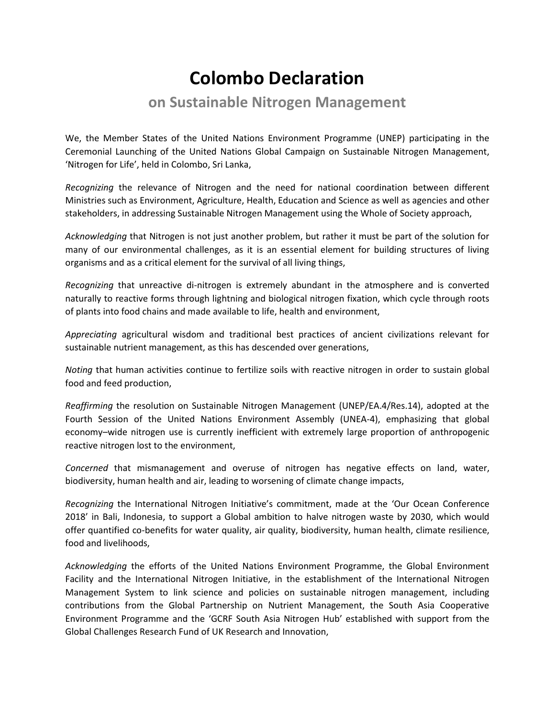## **Colombo Declaration**

## **on Sustainable Nitrogen Management**

We, the Member States of the United Nations Environment Programme (UNEP) participating in the Ceremonial Launching of the United Nations Global Campaign on Sustainable Nitrogen Management, 'Nitrogen for Life', held in Colombo, Sri Lanka,

*Recognizing* the relevance of Nitrogen and the need for national coordination between different Ministries such as Environment, Agriculture, Health, Education and Science as well as agencies and other stakeholders, in addressing Sustainable Nitrogen Management using the Whole of Society approach,

*Acknowledging* that Nitrogen is not just another problem, but rather it must be part of the solution for many of our environmental challenges, as it is an essential element for building structures of living organisms and as a critical element for the survival of all living things,

*Recognizing* that unreactive di-nitrogen is extremely abundant in the atmosphere and is converted naturally to reactive forms through lightning and biological nitrogen fixation, which cycle through roots of plants into food chains and made available to life, health and environment,

*Appreciating* agricultural wisdom and traditional best practices of ancient civilizations relevant for sustainable nutrient management, as this has descended over generations,

*Noting* that human activities continue to fertilize soils with reactive nitrogen in order to sustain global food and feed production,

*Reaffirming* the resolution on Sustainable Nitrogen Management (UNEP/EA.4/Res.14), adopted at the Fourth Session of the United Nations Environment Assembly (UNEA-4), emphasizing that global economy–wide nitrogen use is currently inefficient with extremely large proportion of anthropogenic reactive nitrogen lost to the environment,

*Concerned* that mismanagement and overuse of nitrogen has negative effects on land, water, biodiversity, human health and air, leading to worsening of climate change impacts,

*Recognizing* the International Nitrogen Initiative's commitment, made at the 'Our Ocean Conference 2018' in Bali, Indonesia, to support a Global ambition to halve nitrogen waste by 2030, which would offer quantified co-benefits for water quality, air quality, biodiversity, human health, climate resilience, food and livelihoods,

*Acknowledging* the efforts of the United Nations Environment Programme, the Global Environment Facility and the International Nitrogen Initiative, in the establishment of the International Nitrogen Management System to link science and policies on sustainable nitrogen management, including contributions from the Global Partnership on Nutrient Management, the South Asia Cooperative Environment Programme and the 'GCRF South Asia Nitrogen Hub' established with support from the Global Challenges Research Fund of UK Research and Innovation,